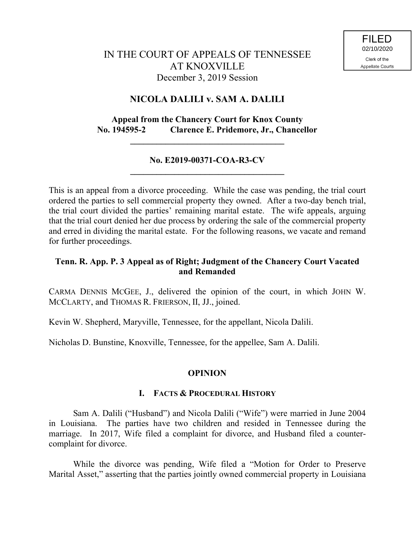# **NICOLA DALILI v. SAM A. DALILI**

# **Appeal from the Chancery Court for Knox County No. 194595-2 Clarence E. Pridemore, Jr., Chancellor**

**\_\_\_\_\_\_\_\_\_\_\_\_\_\_\_\_\_\_\_\_\_\_\_\_\_\_\_\_\_\_\_\_\_\_\_**

### **No. E2019-00371-COA-R3-CV \_\_\_\_\_\_\_\_\_\_\_\_\_\_\_\_\_\_\_\_\_\_\_\_\_\_\_\_\_\_\_\_\_\_\_**

This is an appeal from a divorce proceeding. While the case was pending, the trial court ordered the parties to sell commercial property they owned. After a two-day bench trial, the trial court divided the parties' remaining marital estate. The wife appeals, arguing that the trial court denied her due process by ordering the sale of the commercial property and erred in dividing the marital estate. For the following reasons, we vacate and remand for further proceedings.

# **Tenn. R. App. P. 3 Appeal as of Right; Judgment of the Chancery Court Vacated and Remanded**

CARMA DENNIS MCGEE, J., delivered the opinion of the court, in which JOHN W. MCCLARTY, and THOMAS R. FRIERSON, II, JJ., joined.

Kevin W. Shepherd, Maryville, Tennessee, for the appellant, Nicola Dalili.

Nicholas D. Bunstine, Knoxville, Tennessee, for the appellee, Sam A. Dalili.

# **OPINION**

### **I. FACTS & PROCEDURAL HISTORY**

Sam A. Dalili ("Husband") and Nicola Dalili ("Wife") were married in June 2004 in Louisiana. The parties have two children and resided in Tennessee during the marriage. In 2017, Wife filed a complaint for divorce, and Husband filed a countercomplaint for divorce.

While the divorce was pending, Wife filed a "Motion for Order to Preserve Marital Asset," asserting that the parties jointly owned commercial property in Louisiana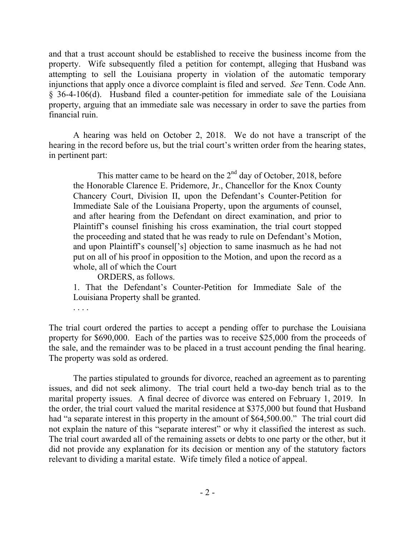and that a trust account should be established to receive the business income from the property. Wife subsequently filed a petition for contempt, alleging that Husband was attempting to sell the Louisiana property in violation of the automatic temporary injunctions that apply once a divorce complaint is filed and served. *See* Tenn. Code Ann. § 36-4-106(d). Husband filed a counter-petition for immediate sale of the Louisiana property, arguing that an immediate sale was necessary in order to save the parties from financial ruin.

A hearing was held on October 2, 2018. We do not have a transcript of the hearing in the record before us, but the trial court's written order from the hearing states, in pertinent part:

This matter came to be heard on the  $2<sup>nd</sup>$  day of October, 2018, before the Honorable Clarence E. Pridemore, Jr., Chancellor for the Knox County Chancery Court, Division II, upon the Defendant's Counter-Petition for Immediate Sale of the Louisiana Property, upon the arguments of counsel, and after hearing from the Defendant on direct examination, and prior to Plaintiff's counsel finishing his cross examination, the trial court stopped the proceeding and stated that he was ready to rule on Defendant's Motion, and upon Plaintiff's counsel['s] objection to same inasmuch as he had not put on all of his proof in opposition to the Motion, and upon the record as a whole, all of which the Court

ORDERS, as follows.

1. That the Defendant's Counter-Petition for Immediate Sale of the Louisiana Property shall be granted.

. . . .

The trial court ordered the parties to accept a pending offer to purchase the Louisiana property for \$690,000. Each of the parties was to receive \$25,000 from the proceeds of the sale, and the remainder was to be placed in a trust account pending the final hearing. The property was sold as ordered.

The parties stipulated to grounds for divorce, reached an agreement as to parenting issues, and did not seek alimony. The trial court held a two-day bench trial as to the marital property issues. A final decree of divorce was entered on February 1, 2019. In the order, the trial court valued the marital residence at \$375,000 but found that Husband had "a separate interest in this property in the amount of \$64,500.00." The trial court did not explain the nature of this "separate interest" or why it classified the interest as such. The trial court awarded all of the remaining assets or debts to one party or the other, but it did not provide any explanation for its decision or mention any of the statutory factors relevant to dividing a marital estate. Wife timely filed a notice of appeal.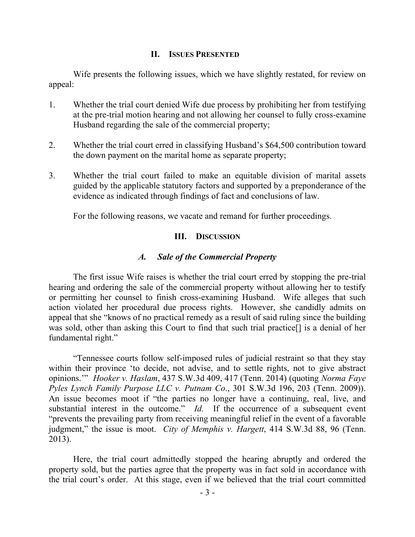### **II. ISSUES PRESENTED**

Wife presents the following issues, which we have slightly restated, for review on appeal:

- 1. Whether the trial court denied Wife due process by prohibiting her from testifying at the pre-trial motion hearing and not allowing her counsel to fully cross-examine Husband regarding the sale of the commercial property;
- 2. Whether the trial court erred in classifying Husband's \$64,500 contribution toward the down payment on the marital home as separate property;
- 3. Whether the trial court failed to make an equitable division of marital assets guided by the applicable statutory factors and supported by a preponderance of the evidence as indicated through findings of fact and conclusions of law.

For the following reasons, we vacate and remand for further proceedings.

### **III. DISCUSSION**

### *A. Sale of the Commercial Property*

The first issue Wife raises is whether the trial court erred by stopping the pre-trial hearing and ordering the sale of the commercial property without allowing her to testify or permitting her counsel to finish cross-examining Husband. Wife alleges that such action violated her procedural due process rights. However, she candidly admits on appeal that she "knows of no practical remedy as a result of said ruling since the building was sold, other than asking this Court to find that such trial practice[] is a denial of her fundamental right."

"Tennessee courts follow self-imposed rules of judicial restraint so that they stay within their province 'to decide, not advise, and to settle rights, not to give abstract opinions.'" *Hooker v. Haslam*, 437 S.W.3d 409, 417 (Tenn. 2014) (quoting *Norma Faye Pyles Lynch Family Purpose LLC v. Putnam Co*., 301 S.W.3d 196, 203 (Tenn. 2009)). An issue becomes moot if "the parties no longer have a continuing, real, live, and substantial interest in the outcome." *Id.* If the occurrence of a subsequent event "prevents the prevailing party from receiving meaningful relief in the event of a favorable judgment," the issue is moot. *City of Memphis v. Hargett*, 414 S.W.3d 88, 96 (Tenn. 2013).

Here, the trial court admittedly stopped the hearing abruptly and ordered the property sold, but the parties agree that the property was in fact sold in accordance with the trial court's order. At this stage, even if we believed that the trial court committed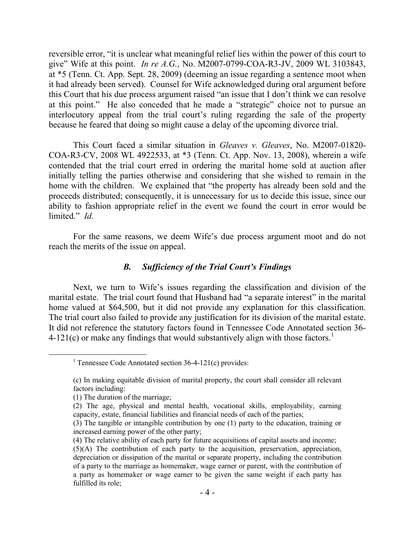reversible error, "it is unclear what meaningful relief lies within the power of this court to give" Wife at this point. *In re A.G.*, No. M2007-0799-COA-R3-JV, 2009 WL 3103843, at \*5 (Tenn. Ct. App. Sept. 28, 2009) (deeming an issue regarding a sentence moot when it had already been served). Counsel for Wife acknowledged during oral argument before this Court that his due process argument raised "an issue that I don't think we can resolve at this point." He also conceded that he made a "strategic" choice not to pursue an interlocutory appeal from the trial court's ruling regarding the sale of the property because he feared that doing so might cause a delay of the upcoming divorce trial.

This Court faced a similar situation in *Gleaves v. Gleaves*, No. M2007-01820- COA-R3-CV, 2008 WL 4922533, at \*3 (Tenn. Ct. App. Nov. 13, 2008), wherein a wife contended that the trial court erred in ordering the marital home sold at auction after initially telling the parties otherwise and considering that she wished to remain in the home with the children. We explained that "the property has already been sold and the proceeds distributed; consequently, it is unnecessary for us to decide this issue, since our ability to fashion appropriate relief in the event we found the court in error would be limited." *Id.* 

 For the same reasons, we deem Wife's due process argument moot and do not reach the merits of the issue on appeal.

#### *B. Sufficiency of the Trial Court's Findings*

Next, we turn to Wife's issues regarding the classification and division of the marital estate. The trial court found that Husband had "a separate interest" in the marital home valued at \$64,500, but it did not provide any explanation for this classification. The trial court also failed to provide any justification for its division of the marital estate. It did not reference the statutory factors found in Tennessee Code Annotated section 36- 4-121(c) or make any findings that would substantively align with those factors.<sup>1</sup>

 $\overline{a}$ 

<sup>&</sup>lt;sup>1</sup> Tennessee Code Annotated section  $36-4-121(c)$  provides:

<sup>(</sup>c) In making equitable division of marital property, the court shall consider all relevant factors including:

<sup>(1)</sup> The duration of the marriage;

<sup>(2)</sup> The age, physical and mental health, vocational skills, employability, earning capacity, estate, financial liabilities and financial needs of each of the parties;

<sup>(3)</sup> The tangible or intangible contribution by one (1) party to the education, training or increased earning power of the other party;

<sup>(4)</sup> The relative ability of each party for future acquisitions of capital assets and income; (5)(A) The contribution of each party to the acquisition, preservation, appreciation, depreciation or dissipation of the marital or separate property, including the contribution of a party to the marriage as homemaker, wage earner or parent, with the contribution of a party as homemaker or wage earner to be given the same weight if each party has fulfilled its role;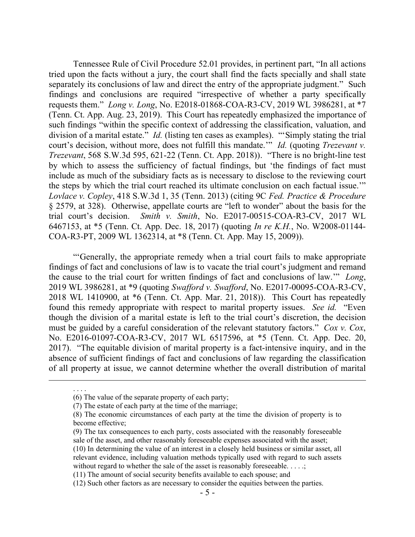Tennessee Rule of Civil Procedure 52.01 provides, in pertinent part, "In all actions tried upon the facts without a jury, the court shall find the facts specially and shall state separately its conclusions of law and direct the entry of the appropriate judgment." Such findings and conclusions are required "irrespective of whether a party specifically requests them." *Long v. Long*, No. E2018-01868-COA-R3-CV, 2019 WL 3986281, at \*7 (Tenn. Ct. App. Aug. 23, 2019). This Court has repeatedly emphasized the importance of such findings "within the specific context of addressing the classification, valuation, and division of a marital estate." *Id.* (listing ten cases as examples). "Simply stating the trial court's decision, without more, does not fulfill this mandate.'" *Id.* (quoting *Trezevant v. Trezevant*, 568 S.W.3d 595, 621-22 (Tenn. Ct. App. 2018)). "There is no bright-line test by which to assess the sufficiency of factual findings, but 'the findings of fact must include as much of the subsidiary facts as is necessary to disclose to the reviewing court the steps by which the trial court reached its ultimate conclusion on each factual issue.'" *Lovlace v. Copley*, 418 S.W.3d 1, 35 (Tenn. 2013) (citing 9C *Fed. Practice & Procedure* § 2579, at 328). Otherwise, appellate courts are "left to wonder" about the basis for the trial court's decision. *Smith v. Smith*, No. E2017-00515-COA-R3-CV, 2017 WL 6467153, at \*5 (Tenn. Ct. App. Dec. 18, 2017) (quoting *In re K.H.*, No. W2008-01144- COA-R3-PT, 2009 WL 1362314, at \*8 (Tenn. Ct. App. May 15, 2009)).

"'Generally, the appropriate remedy when a trial court fails to make appropriate findings of fact and conclusions of law is to vacate the trial court's judgment and remand the cause to the trial court for written findings of fact and conclusions of law.'" *Long*, 2019 WL 3986281, at \*9 (quoting *Swafford v. Swafford*, No. E2017-00095-COA-R3-CV, 2018 WL 1410900, at \*6 (Tenn. Ct. App. Mar. 21, 2018)). This Court has repeatedly found this remedy appropriate with respect to marital property issues. *See id.* "Even though the division of a marital estate is left to the trial court's discretion, the decision must be guided by a careful consideration of the relevant statutory factors." *Cox v. Cox*, No. E2016-01097-COA-R3-CV, 2017 WL 6517596, at \*5 (Tenn. Ct. App. Dec. 20, 2017). "The equitable division of marital property is a fact-intensive inquiry, and in the absence of sufficient findings of fact and conclusions of law regarding the classification of all property at issue, we cannot determine whether the overall distribution of marital

 $\overline{a}$ 

. . . .

<sup>(6)</sup> The value of the separate property of each party;

<sup>(7)</sup> The estate of each party at the time of the marriage;

<sup>(8)</sup> The economic circumstances of each party at the time the division of property is to become effective;

<sup>(9)</sup> The tax consequences to each party, costs associated with the reasonably foreseeable sale of the asset, and other reasonably foreseeable expenses associated with the asset;

<sup>(10)</sup> In determining the value of an interest in a closely held business or similar asset, all relevant evidence, including valuation methods typically used with regard to such assets without regard to whether the sale of the asset is reasonably foreseeable. . . . .;

<sup>(11)</sup> The amount of social security benefits available to each spouse; and

<sup>(12)</sup> Such other factors as are necessary to consider the equities between the parties.